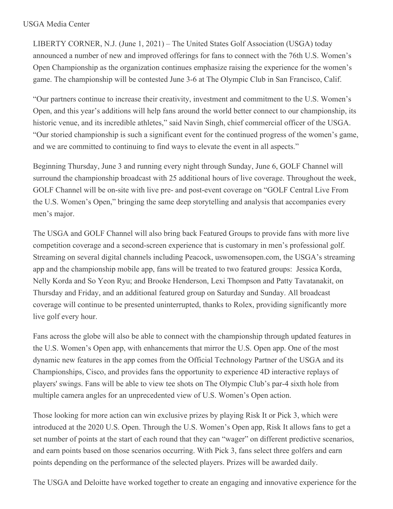## USGA Media Center

LIBERTY CORNER, N.J. (June 1, 2021) – The United States Golf Association (USGA) today announced a number of new and improved offerings for fans to connect with the 76th U.S. Women's Open Championship as the organization continues emphasize raising the experience for the women's game. The championship will be contested June 3-6 at The Olympic Club in San Francisco, Calif.

"Our partners continue to increase their creativity, investment and commitment to the U.S. Women's Open, and this year's additions will help fans around the world better connect to our championship, its historic venue, and its incredible athletes," said Navin Singh, chief commercial officer of the USGA. "Our storied championship is such a significant event for the continued progress of the women's game, and we are committed to continuing to find ways to elevate the event in all aspects."

Beginning Thursday, June 3 and running every night through Sunday, June 6, GOLF Channel will surround the championship broadcast with 25 additional hours of live coverage. Throughout the week, GOLF Channel will be on-site with live pre- and post-event coverage on "GOLF Central Live From the U.S. Women's Open," bringing the same deep storytelling and analysis that accompanies every men's major.

The USGA and GOLF Channel will also bring back Featured Groups to provide fans with more live competition coverage and a second-screen experience that is customary in men's professional golf. Streaming on several digital channels including Peacock, uswomensopen.com, the USGA's streaming app and the championship mobile app, fans will be treated to two featured groups: Jessica Korda, Nelly Korda and So Yeon Ryu; and Brooke Henderson, Lexi Thompson and Patty Tavatanakit, on Thursday and Friday, and an additional featured group on Saturday and Sunday. All broadcast coverage will continue to be presented uninterrupted, thanks to Rolex, providing significantly more live golf every hour.

Fans across the globe will also be able to connect with the championship through updated features in the U.S. Women's Open app, with enhancements that mirror the U.S. Open app. One of the most dynamic new features in the app comes from the Official Technology Partner of the USGA and its Championships, Cisco, and provides fans the opportunity to experience 4D interactive replays of players' swings. Fans will be able to view tee shots on The Olympic Club's par-4 sixth hole from multiple camera angles for an unprecedented view of U.S. Women's Open action.

Those looking for more action can win exclusive prizes by playing Risk It or Pick 3, which were introduced at the 2020 U.S. Open. Through the U.S. Women's Open app, Risk It allows fans to get a set number of points at the start of each round that they can "wager" on different predictive scenarios, and earn points based on those scenarios occurring. With Pick 3, fans select three golfers and earn points depending on the performance of the selected players. Prizes will be awarded daily.

The USGA and Deloitte have worked together to create an engaging and innovative experience for the